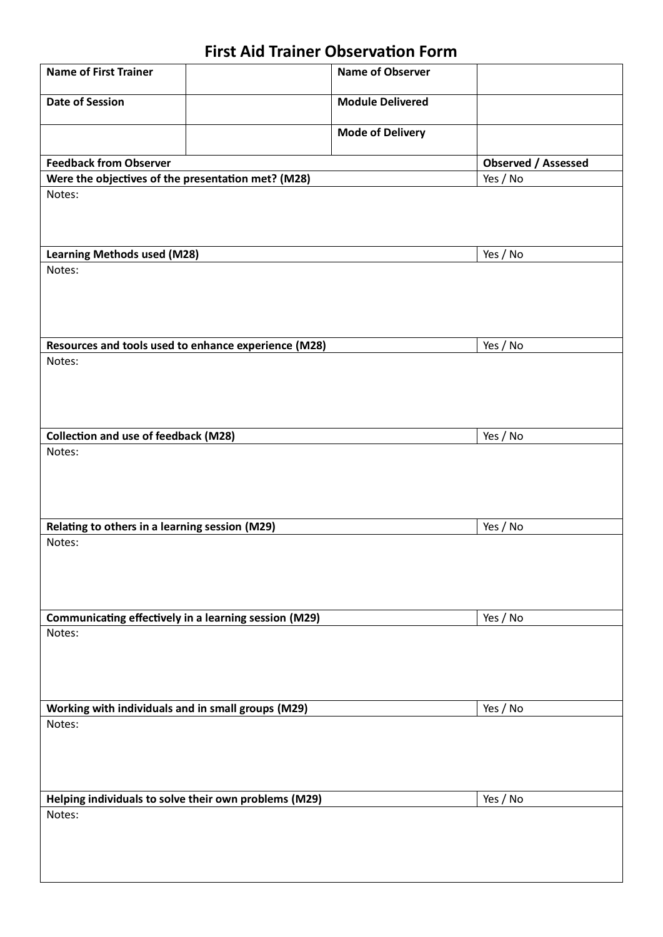# **First Aid Trainer Observation Form**

| <b>Name of First Trainer</b>                          |  | <b>Name of Observer</b> |                            |
|-------------------------------------------------------|--|-------------------------|----------------------------|
| <b>Date of Session</b>                                |  | <b>Module Delivered</b> |                            |
|                                                       |  | <b>Mode of Delivery</b> |                            |
| <b>Feedback from Observer</b>                         |  |                         | <b>Observed / Assessed</b> |
| Were the objectives of the presentation met? (M28)    |  |                         | Yes / No                   |
| Notes:                                                |  |                         |                            |
| <b>Learning Methods used (M28)</b>                    |  |                         | Yes / No                   |
| Notes:                                                |  |                         |                            |
| Resources and tools used to enhance experience (M28)  |  |                         | Yes / No                   |
| Notes:                                                |  |                         |                            |
| <b>Collection and use of feedback (M28)</b>           |  |                         | Yes / No                   |
| Notes:                                                |  |                         |                            |
| Relating to others in a learning session (M29)        |  |                         | Yes / No                   |
| Notes:                                                |  |                         |                            |
| Communicating effectively in a learning session (M29) |  |                         | Yes / No                   |
| Notes:                                                |  |                         |                            |
| Working with individuals and in small groups (M29)    |  |                         | Yes / No                   |
| Notes:                                                |  |                         |                            |
| Helping individuals to solve their own problems (M29) |  |                         | Yes / No                   |
| Notes:                                                |  |                         |                            |